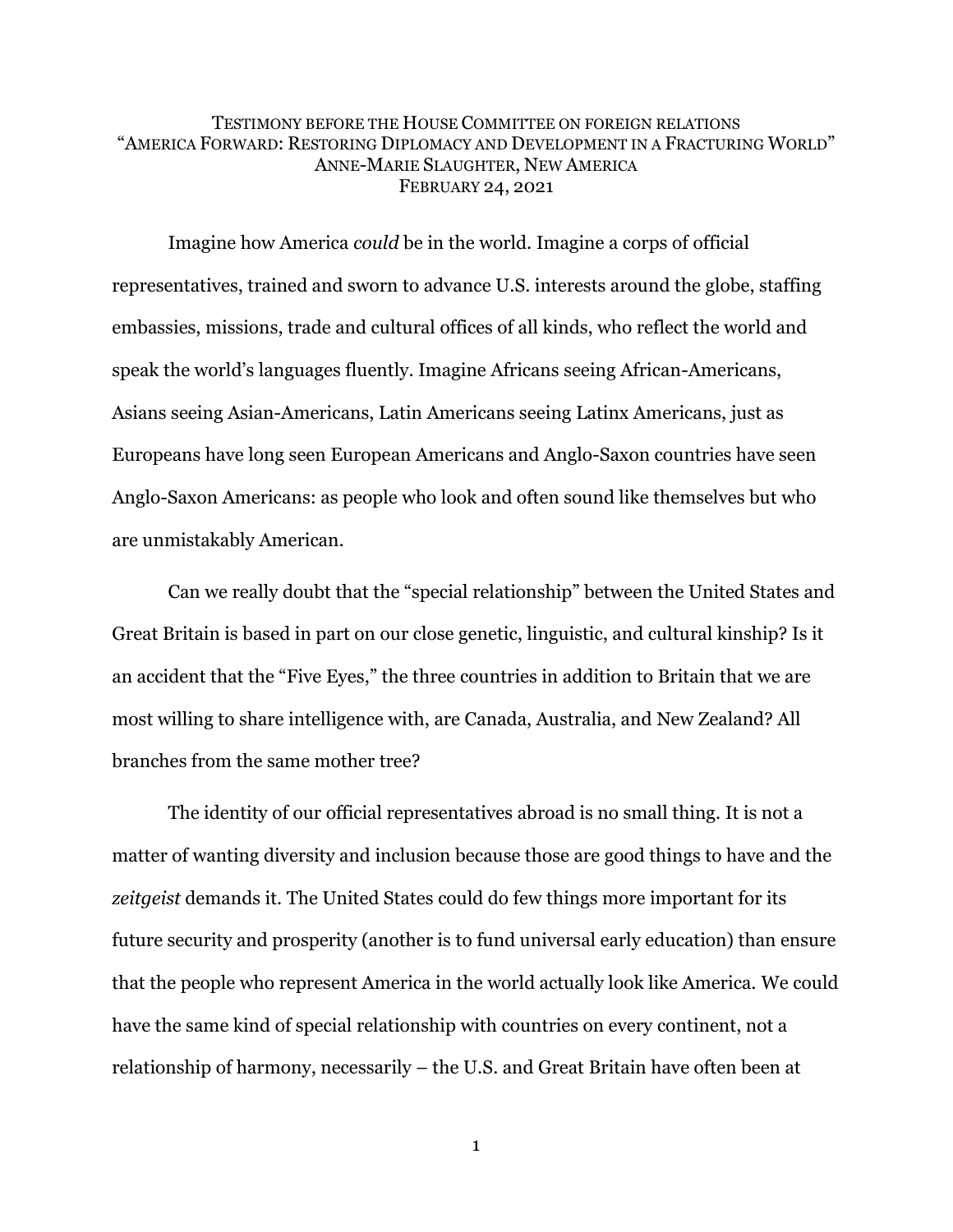### TESTIMONY BEFORE THE HOUSE COMMITTEE ON FOREIGN RELATIONS "AMERICA FORWARD: RESTORING DIPLOMACY AND DEVELOPMENT IN A FRACTURING WORLD" ANNE-MARIE SLAUGHTER, NEW AMERICA FEBRUARY 24, 2021

Imagine how America *could* be in the world. Imagine a corps of official representatives, trained and sworn to advance U.S. interests around the globe, staffing embassies, missions, trade and cultural offices of all kinds, who reflect the world and speak the world's languages fluently. Imagine Africans seeing African-Americans, Asians seeing Asian-Americans, Latin Americans seeing Latinx Americans, just as Europeans have long seen European Americans and Anglo-Saxon countries have seen Anglo-Saxon Americans: as people who look and often sound like themselves but who are unmistakably American.

Can we really doubt that the "special relationship" between the United States and Great Britain is based in part on our close genetic, linguistic, and cultural kinship? Is it an accident that the "Five Eyes," the three countries in addition to Britain that we are most willing to share intelligence with, are Canada, Australia, and New Zealand? All branches from the same mother tree?

The identity of our official representatives abroad is no small thing. It is not a matter of wanting diversity and inclusion because those are good things to have and the *zeitgeist* demands it. The United States could do few things more important for its future security and prosperity (another is to fund universal early education) than ensure that the people who represent America in the world actually look like America. We could have the same kind of special relationship with countries on every continent, not a relationship of harmony, necessarily – the U.S. and Great Britain have often been at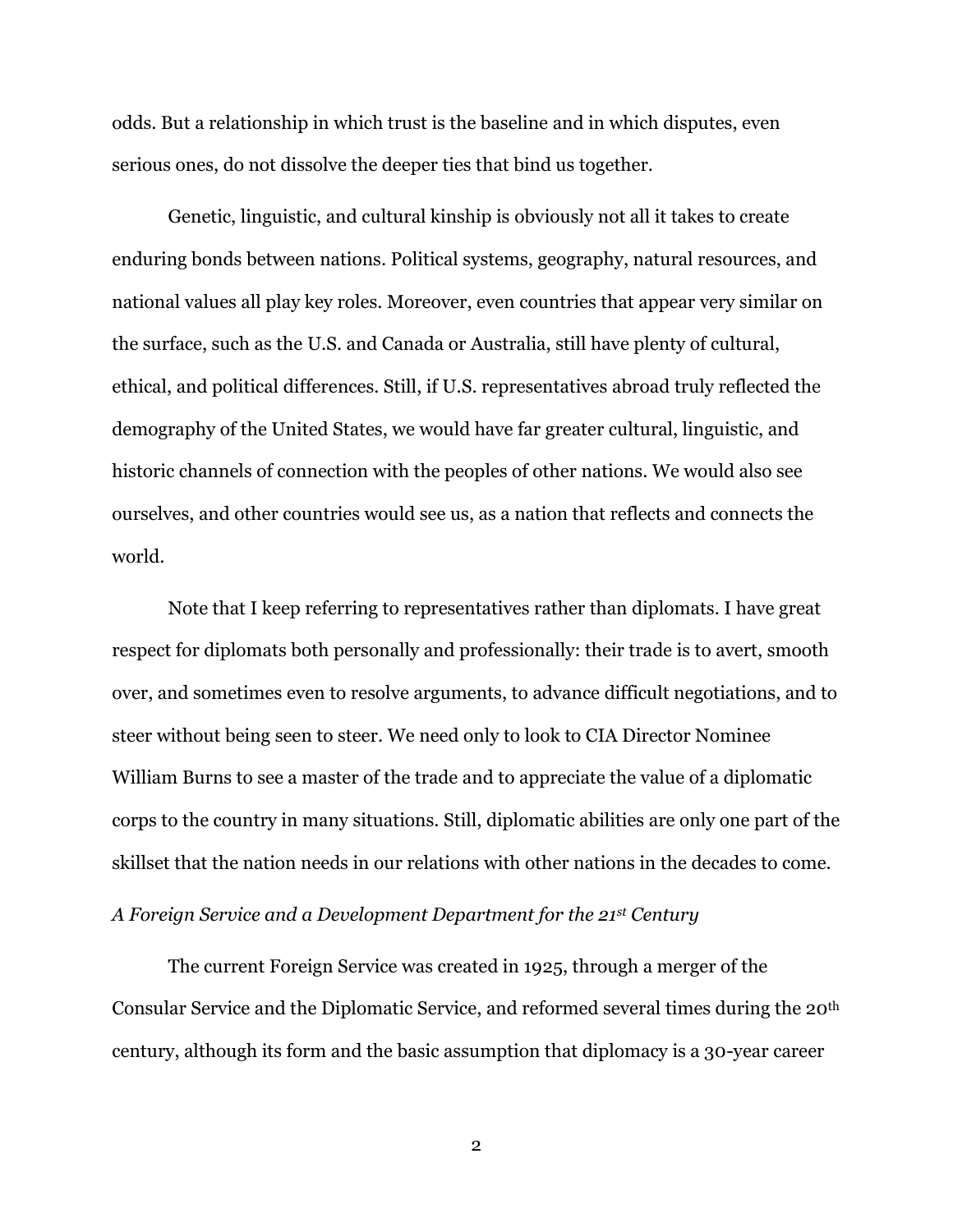odds. But a relationship in which trust is the baseline and in which disputes, even serious ones, do not dissolve the deeper ties that bind us together.

Genetic, linguistic, and cultural kinship is obviously not all it takes to create enduring bonds between nations. Political systems, geography, natural resources, and national values all play key roles. Moreover, even countries that appear very similar on the surface, such as the U.S. and Canada or Australia, still have plenty of cultural, ethical, and political differences. Still, if U.S. representatives abroad truly reflected the demography of the United States, we would have far greater cultural, linguistic, and historic channels of connection with the peoples of other nations. We would also see ourselves, and other countries would see us, as a nation that reflects and connects the world.

Note that I keep referring to representatives rather than diplomats. I have great respect for diplomats both personally and professionally: their trade is to avert, smooth over, and sometimes even to resolve arguments, to advance difficult negotiations, and to steer without being seen to steer. We need only to look to CIA Director Nominee William Burns to see a master of the trade and to appreciate the value of a diplomatic corps to the country in many situations. Still, diplomatic abilities are only one part of the skillset that the nation needs in our relations with other nations in the decades to come.

# *A Foreign Service and a Development Department for the 21st Century*

The current Foreign Service was created in 1925, through a merger of the Consular Service and the Diplomatic Service, and reformed several times during the 20th century, although its form and the basic assumption that diplomacy is a 30-year career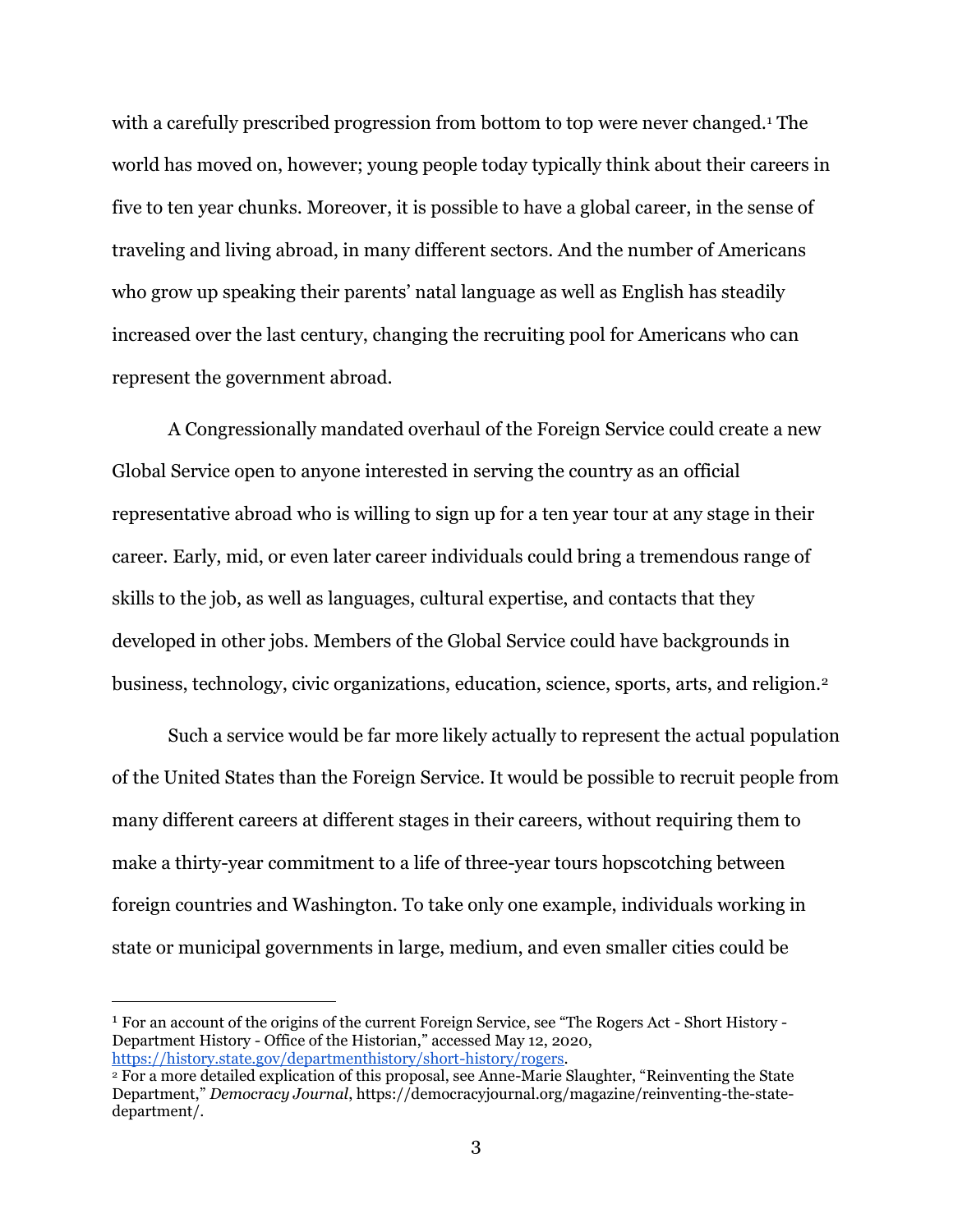with a carefully prescribed progression from bottom to top were never changed.<sup>1</sup> The world has moved on, however; young people today typically think about their careers in five to ten year chunks. Moreover, it is possible to have a global career, in the sense of traveling and living abroad, in many different sectors. And the number of Americans who grow up speaking their parents' natal language as well as English has steadily increased over the last century, changing the recruiting pool for Americans who can represent the government abroad.

A Congressionally mandated overhaul of the Foreign Service could create a new Global Service open to anyone interested in serving the country as an official representative abroad who is willing to sign up for a ten year tour at any stage in their career. Early, mid, or even later career individuals could bring a tremendous range of skills to the job, as well as languages, cultural expertise, and contacts that they developed in other jobs. Members of the Global Service could have backgrounds in business, technology, civic organizations, education, science, sports, arts, and religion.<sup>2</sup>

Such a service would be far more likely actually to represent the actual population of the United States than the Foreign Service. It would be possible to recruit people from many different careers at different stages in their careers, without requiring them to make a thirty-year commitment to a life of three-year tours hopscotching between foreign countries and Washington. To take only one example, individuals working in state or municipal governments in large, medium, and even smaller cities could be

1 For an account of the origins of the current Foreign Service, see "The Rogers Act - Short History - Department History - Office of the Historian," accessed May 12, 2020, [https://history.state.gov/departmenthistory/short-history/rogers.](https://history.state.gov/departmenthistory/short-history/rogers)

<sup>&</sup>lt;sup>2</sup> For a more detailed explication of this proposal, see Anne-Marie Slaughter, "Reinventing the State Department," *Democracy Journal*, https://democracyjournal.org/magazine/reinventing-the-statedepartment/.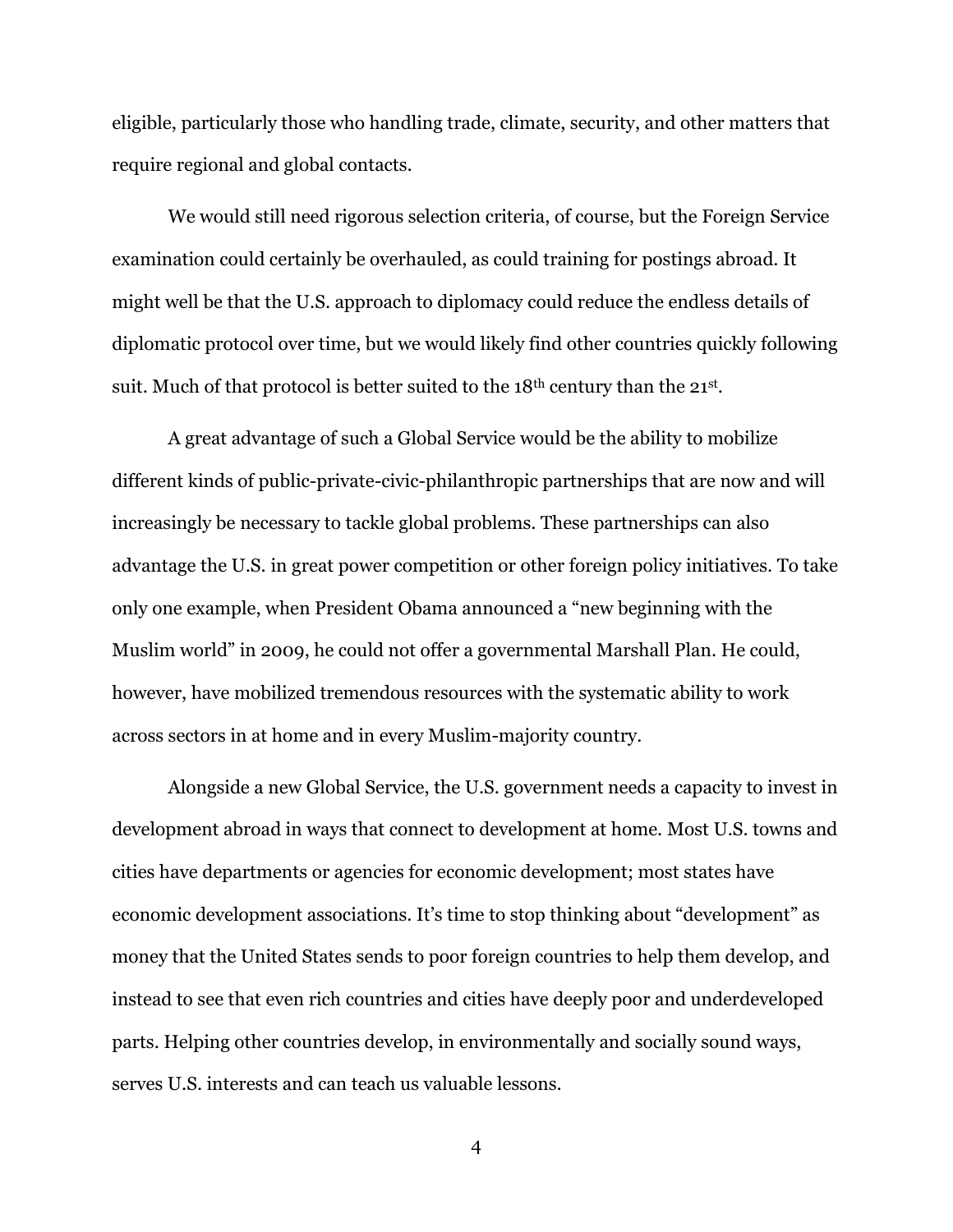eligible, particularly those who handling trade, climate, security, and other matters that require regional and global contacts.

We would still need rigorous selection criteria, of course, but the Foreign Service examination could certainly be overhauled, as could training for postings abroad. It might well be that the U.S. approach to diplomacy could reduce the endless details of diplomatic protocol over time, but we would likely find other countries quickly following suit. Much of that protocol is better suited to the  $18<sup>th</sup>$  century than the  $21<sup>st</sup>$ .

A great advantage of such a Global Service would be the ability to mobilize different kinds of public-private-civic-philanthropic partnerships that are now and will increasingly be necessary to tackle global problems. These partnerships can also advantage the U.S. in great power competition or other foreign policy initiatives. To take only one example, when President Obama announced a "new beginning with the Muslim world" in 2009, he could not offer a governmental Marshall Plan. He could, however, have mobilized tremendous resources with the systematic ability to work across sectors in at home and in every Muslim-majority country.

Alongside a new Global Service, the U.S. government needs a capacity to invest in development abroad in ways that connect to development at home. Most U.S. towns and cities have departments or agencies for economic development; most states have economic development associations. It's time to stop thinking about "development" as money that the United States sends to poor foreign countries to help them develop, and instead to see that even rich countries and cities have deeply poor and underdeveloped parts. Helping other countries develop, in environmentally and socially sound ways, serves U.S. interests and can teach us valuable lessons.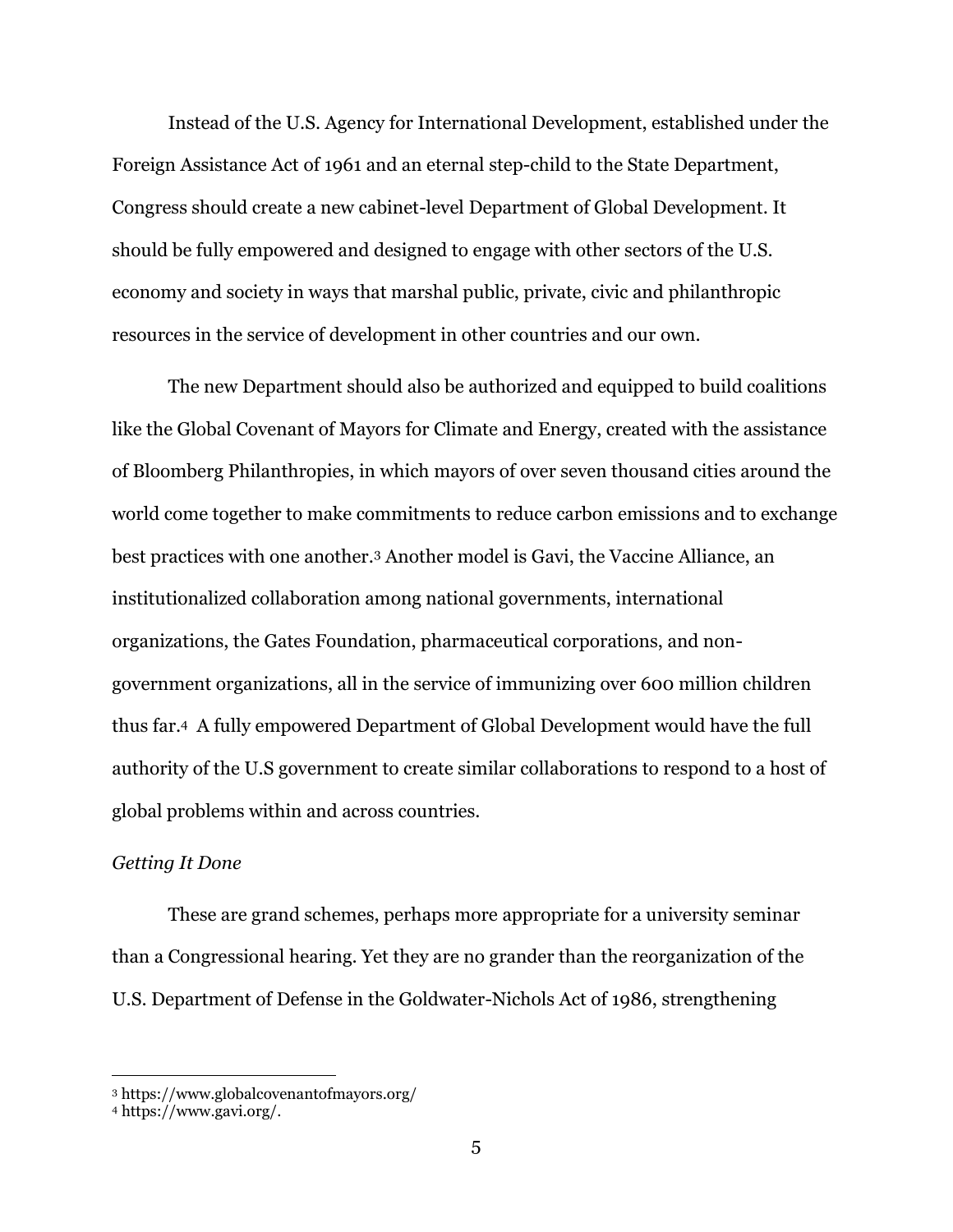Instead of the U.S. Agency for International Development, established under the Foreign Assistance Act of 1961 and an eternal step-child to the State Department, Congress should create a new cabinet-level Department of Global Development. It should be fully empowered and designed to engage with other sectors of the U.S. economy and society in ways that marshal public, private, civic and philanthropic resources in the service of development in other countries and our own.

The new Department should also be authorized and equipped to build coalitions like the Global Covenant of Mayors for Climate and Energy, created with the assistance of Bloomberg Philanthropies, in which mayors of over seven thousand cities around the world come together to make commitments to reduce carbon emissions and to exchange best practices with one another.<sup>3</sup> Another model is Gavi, the Vaccine Alliance, an institutionalized collaboration among national governments, international organizations, the Gates Foundation, pharmaceutical corporations, and nongovernment organizations, all in the service of immunizing over 600 million children thus far.<sup>4</sup> A fully empowered Department of Global Development would have the full authority of the U.S government to create similar collaborations to respond to a host of global problems within and across countries.

#### *Getting It Done*

These are grand schemes, perhaps more appropriate for a university seminar than a Congressional hearing. Yet they are no grander than the reorganization of the U.S. Department of Defense in the Goldwater-Nichols Act of 1986, strengthening

<sup>3</sup> https://www.globalcovenantofmayors.org/

<sup>4</sup> https://www.gavi.org/.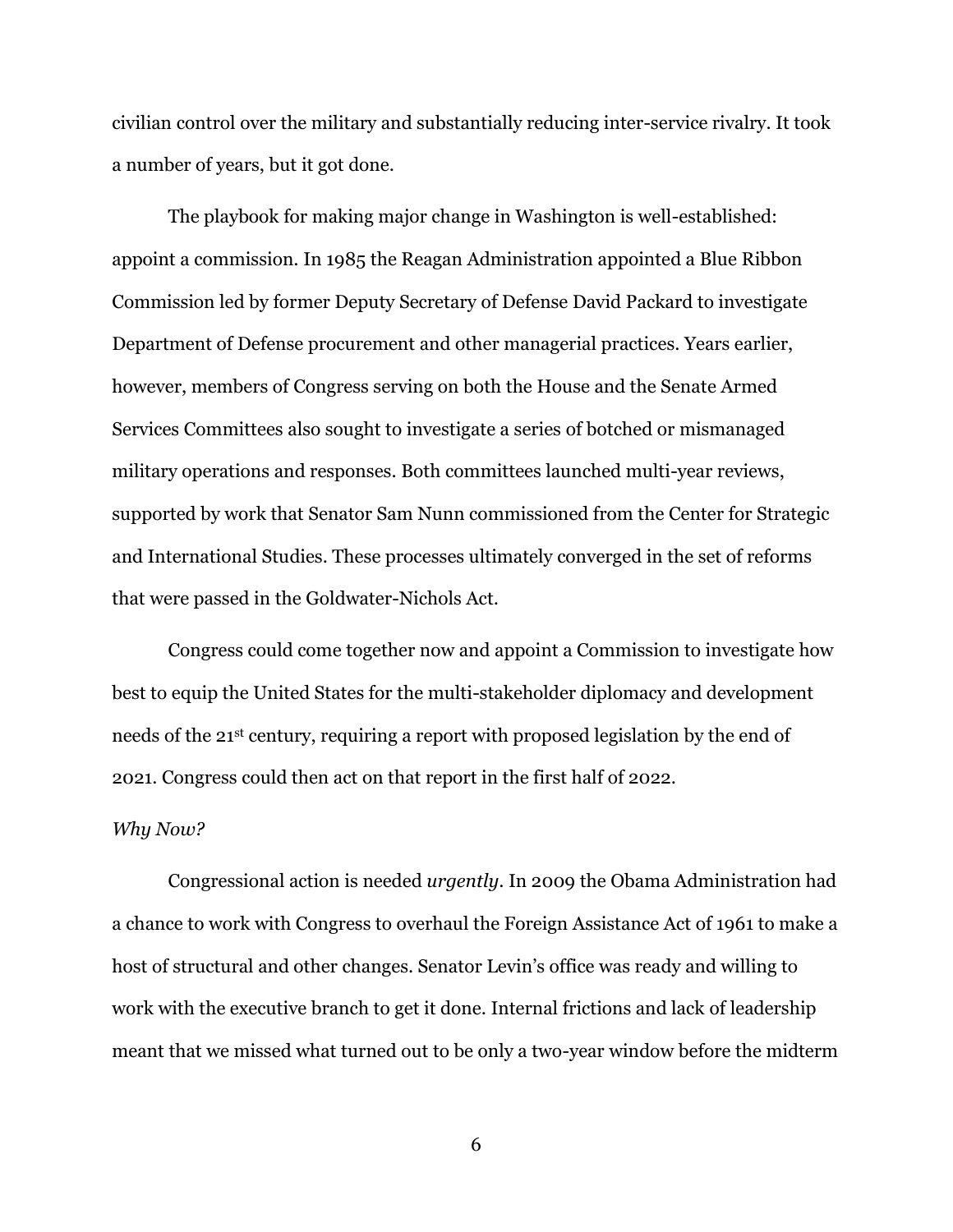civilian control over the military and substantially reducing inter-service rivalry. It took a number of years, but it got done.

The playbook for making major change in Washington is well-established: appoint a commission. In 1985 the Reagan Administration appointed a Blue Ribbon Commission led by former Deputy Secretary of Defense David Packard to investigate Department of Defense procurement and other managerial practices. Years earlier, however, members of Congress serving on both the House and the Senate Armed Services Committees also sought to investigate a series of botched or mismanaged military operations and responses. Both committees launched multi-year reviews, supported by work that Senator Sam Nunn commissioned from the Center for Strategic and International Studies. These processes ultimately converged in the set of reforms that were passed in the Goldwater-Nichols Act.

Congress could come together now and appoint a Commission to investigate how best to equip the United States for the multi-stakeholder diplomacy and development needs of the 21st century, requiring a report with proposed legislation by the end of 2021. Congress could then act on that report in the first half of 2022.

#### *Why Now?*

Congressional action is needed *urgently*. In 2009 the Obama Administration had a chance to work with Congress to overhaul the Foreign Assistance Act of 1961 to make a host of structural and other changes. Senator Levin's office was ready and willing to work with the executive branch to get it done. Internal frictions and lack of leadership meant that we missed what turned out to be only a two-year window before the midterm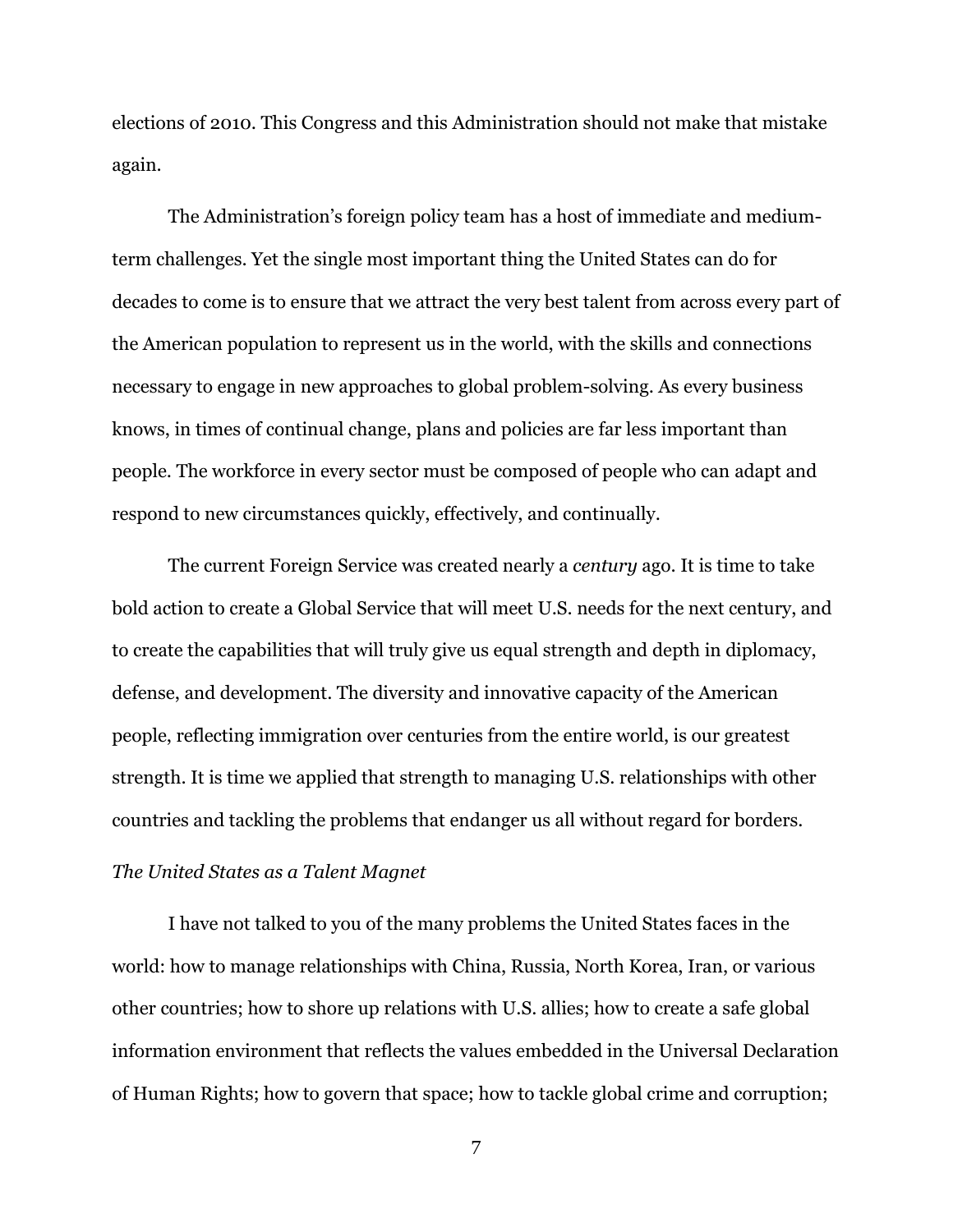elections of 2010. This Congress and this Administration should not make that mistake again.

The Administration's foreign policy team has a host of immediate and mediumterm challenges. Yet the single most important thing the United States can do for decades to come is to ensure that we attract the very best talent from across every part of the American population to represent us in the world, with the skills and connections necessary to engage in new approaches to global problem-solving. As every business knows, in times of continual change, plans and policies are far less important than people. The workforce in every sector must be composed of people who can adapt and respond to new circumstances quickly, effectively, and continually.

The current Foreign Service was created nearly a *century* ago. It is time to take bold action to create a Global Service that will meet U.S. needs for the next century, and to create the capabilities that will truly give us equal strength and depth in diplomacy, defense, and development. The diversity and innovative capacity of the American people, reflecting immigration over centuries from the entire world, is our greatest strength. It is time we applied that strength to managing U.S. relationships with other countries and tackling the problems that endanger us all without regard for borders.

## *The United States as a Talent Magnet*

I have not talked to you of the many problems the United States faces in the world: how to manage relationships with China, Russia, North Korea, Iran, or various other countries; how to shore up relations with U.S. allies; how to create a safe global information environment that reflects the values embedded in the Universal Declaration of Human Rights; how to govern that space; how to tackle global crime and corruption;